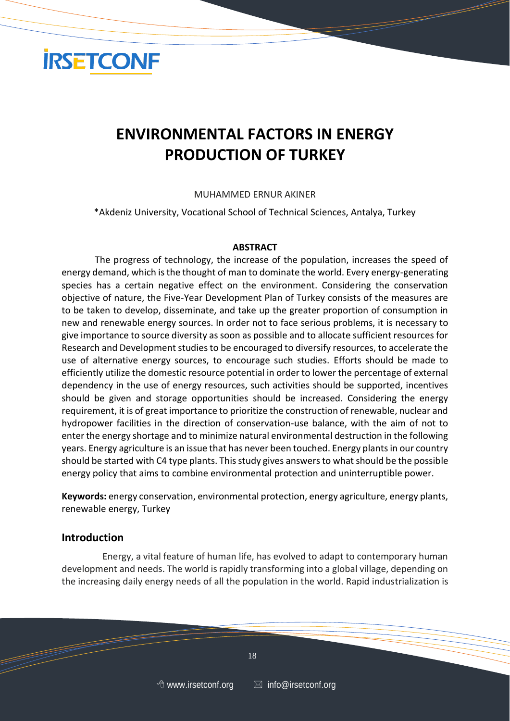

# **ENVIRONMENTAL FACTORS IN ENERGY PRODUCTION OF TURKEY**

#### MUHAMMED ERNUR AKINER

\*Akdeniz University, Vocational School of Technical Sciences, Antalya, Turkey

#### **ABSTRACT**

The progress of technology, the increase of the population, increases the speed of energy demand, which is the thought of man to dominate the world. Every energy-generating species has a certain negative effect on the environment. Considering the conservation objective of nature, the Five-Year Development Plan of Turkey consists of the measures are to be taken to develop, disseminate, and take up the greater proportion of consumption in new and renewable energy sources. In order not to face serious problems, it is necessary to give importance to source diversity as soon as possible and to allocate sufficient resources for Research and Development studies to be encouraged to diversify resources, to accelerate the use of alternative energy sources, to encourage such studies. Efforts should be made to efficiently utilize the domestic resource potential in order to lower the percentage of external dependency in the use of energy resources, such activities should be supported, incentives should be given and storage opportunities should be increased. Considering the energy requirement, it is of great importance to prioritize the construction of renewable, nuclear and hydropower facilities in the direction of conservation-use balance, with the aim of not to enter the energy shortage and to minimize natural environmental destruction in the following years. Energy agriculture is an issue that has never been touched. Energy plants in our country should be started with C4 type plants. This study gives answers to what should be the possible energy policy that aims to combine environmental protection and uninterruptible power.

**Keywords:** energy conservation, environmental protection, energy agriculture, energy plants, renewable energy, Turkey

#### **Introduction**

Energy, a vital feature of human life, has evolved to adapt to contemporary human development and needs. The world is rapidly transforming into a global village, depending on the increasing daily energy needs of all the population in the world. Rapid industrialization is

 $\sim$  18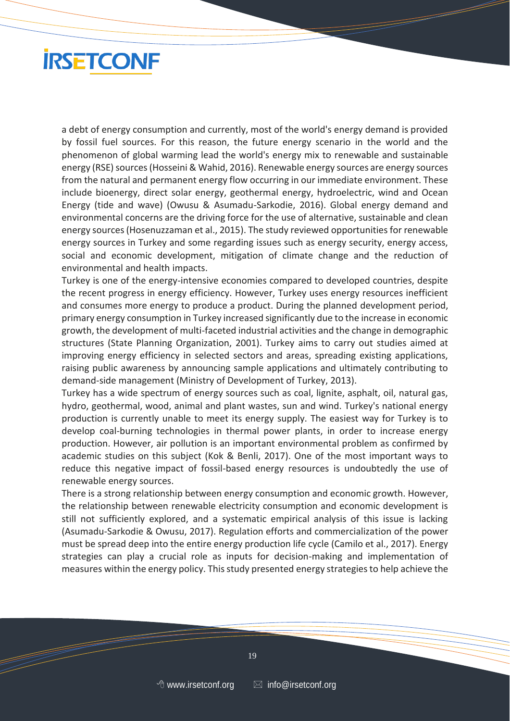

a debt of energy consumption and currently, most of the world's energy demand is provided by fossil fuel sources. For this reason, the future energy scenario in the world and the phenomenon of global warming lead the world's energy mix to renewable and sustainable energy (RSE) sources (Hosseini & Wahid, 2016). Renewable energy sources are energy sources from the natural and permanent energy flow occurring in our immediate environment. These include bioenergy, direct solar energy, geothermal energy, hydroelectric, wind and Ocean Energy (tide and wave) (Owusu & Asumadu-Sarkodie, 2016). Global energy demand and environmental concerns are the driving force for the use of alternative, sustainable and clean energy sources (Hosenuzzaman et al., 2015). The study reviewed opportunities for renewable energy sources in Turkey and some regarding issues such as energy security, energy access, social and economic development, mitigation of climate change and the reduction of environmental and health impacts.

Turkey is one of the energy-intensive economies compared to developed countries, despite the recent progress in energy efficiency. However, Turkey uses energy resources inefficient and consumes more energy to produce a product. During the planned development period, primary energy consumption in Turkey increased significantly due to the increase in economic growth, the development of multi-faceted industrial activities and the change in demographic structures (State Planning Organization, 2001). Turkey aims to carry out studies aimed at improving energy efficiency in selected sectors and areas, spreading existing applications, raising public awareness by announcing sample applications and ultimately contributing to demand-side management (Ministry of Development of Turkey, 2013).

Turkey has a wide spectrum of energy sources such as coal, lignite, asphalt, oil, natural gas, hydro, geothermal, wood, animal and plant wastes, sun and wind. Turkey's national energy production is currently unable to meet its energy supply. The easiest way for Turkey is to develop coal-burning technologies in thermal power plants, in order to increase energy production. However, air pollution is an important environmental problem as confirmed by academic studies on this subject (Kok & Benli, 2017). One of the most important ways to reduce this negative impact of fossil-based energy resources is undoubtedly the use of renewable energy sources.

There is a strong relationship between energy consumption and economic growth. However, the relationship between renewable electricity consumption and economic development is still not sufficiently explored, and a systematic empirical analysis of this issue is lacking (Asumadu-Sarkodie & Owusu, 2017). Regulation efforts and commercialization of the power must be spread deep into the entire energy production life cycle (Camilo et al., 2017). Energy strategies can play a crucial role as inputs for decision-making and implementation of measures within the energy policy. This study presented energy strategies to help achieve the

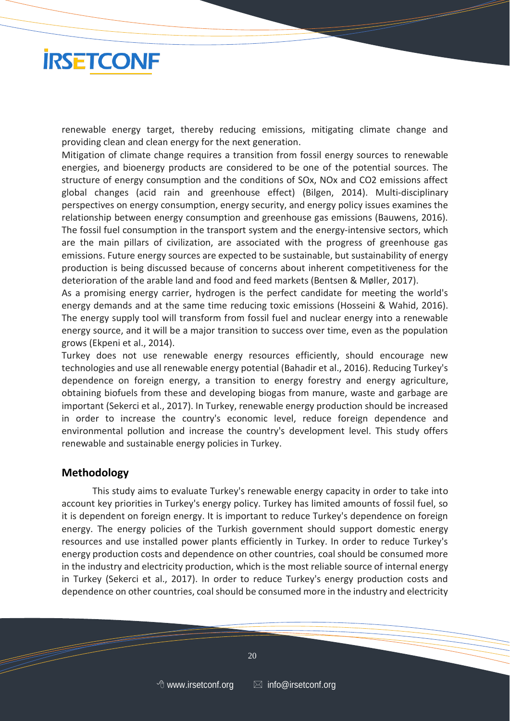

renewable energy target, thereby reducing emissions, mitigating climate change and providing clean and clean energy for the next generation.

Mitigation of climate change requires a transition from fossil energy sources to renewable energies, and bioenergy products are considered to be one of the potential sources. The structure of energy consumption and the conditions of SOx, NOx and CO2 emissions affect global changes (acid rain and greenhouse effect) (Bilgen, 2014). Multi-disciplinary perspectives on energy consumption, energy security, and energy policy issues examines the relationship between energy consumption and greenhouse gas emissions (Bauwens, 2016). The fossil fuel consumption in the transport system and the energy-intensive sectors, which are the main pillars of civilization, are associated with the progress of greenhouse gas emissions. Future energy sources are expected to be sustainable, but sustainability of energy production is being discussed because of concerns about inherent competitiveness for the deterioration of the arable land and food and feed markets (Bentsen & Møller, 2017).

As a promising energy carrier, hydrogen is the perfect candidate for meeting the world's energy demands and at the same time reducing toxic emissions (Hosseini & Wahid, 2016). The energy supply tool will transform from fossil fuel and nuclear energy into a renewable energy source, and it will be a major transition to success over time, even as the population grows (Ekpeni et al., 2014).

Turkey does not use renewable energy resources efficiently, should encourage new technologies and use all renewable energy potential (Bahadir et al., 2016). Reducing Turkey's dependence on foreign energy, a transition to energy forestry and energy agriculture, obtaining biofuels from these and developing biogas from manure, waste and garbage are important (Sekerci et al., 2017). In Turkey, renewable energy production should be increased in order to increase the country's economic level, reduce foreign dependence and environmental pollution and increase the country's development level. This study offers renewable and sustainable energy policies in Turkey.

#### **Methodology**

This study aims to evaluate Turkey's renewable energy capacity in order to take into account key priorities in Turkey's energy policy. Turkey has limited amounts of fossil fuel, so it is dependent on foreign energy. It is important to reduce Turkey's dependence on foreign energy. The energy policies of the Turkish government should support domestic energy resources and use installed power plants efficiently in Turkey. In order to reduce Turkey's energy production costs and dependence on other countries, coal should be consumed more in the industry and electricity production, which is the most reliable source of internal energy in Turkey (Sekerci et al., 2017). In order to reduce Turkey's energy production costs and dependence on other countries, coal should be consumed more in the industry and electricity

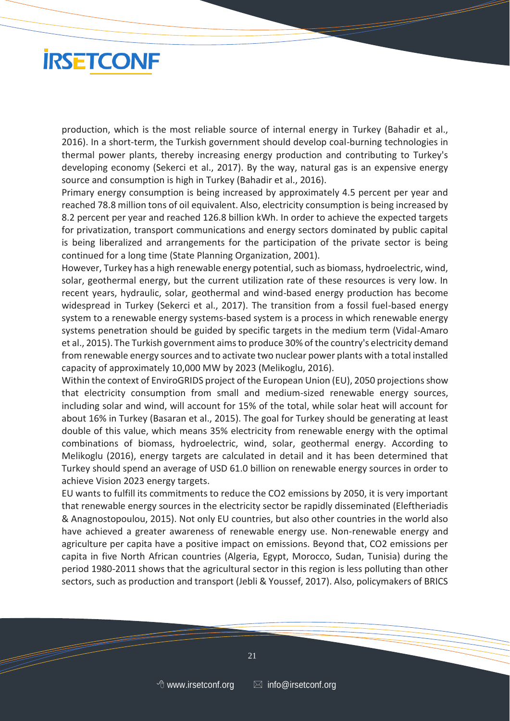

production, which is the most reliable source of internal energy in Turkey (Bahadir et al., 2016). In a short-term, the Turkish government should develop coal-burning technologies in thermal power plants, thereby increasing energy production and contributing to Turkey's developing economy (Sekerci et al., 2017). By the way, natural gas is an expensive energy source and consumption is high in Turkey (Bahadir et al., 2016).

Primary energy consumption is being increased by approximately 4.5 percent per year and reached 78.8 million tons of oil equivalent. Also, electricity consumption is being increased by 8.2 percent per year and reached 126.8 billion kWh. In order to achieve the expected targets for privatization, transport communications and energy sectors dominated by public capital is being liberalized and arrangements for the participation of the private sector is being continued for a long time (State Planning Organization, 2001).

However, Turkey has a high renewable energy potential, such as biomass, hydroelectric, wind, solar, geothermal energy, but the current utilization rate of these resources is very low. In recent years, hydraulic, solar, geothermal and wind-based energy production has become widespread in Turkey (Sekerci et al., 2017). The transition from a fossil fuel-based energy system to a renewable energy systems-based system is a process in which renewable energy systems penetration should be guided by specific targets in the medium term (Vidal-Amaro et al., 2015). The Turkish government aims to produce 30% of the country's electricity demand from renewable energy sources and to activate two nuclear power plants with a total installed capacity of approximately 10,000 MW by 2023 (Melikoglu, 2016).

Within the context of EnviroGRIDS project of the European Union (EU), 2050 projections show that electricity consumption from small and medium-sized renewable energy sources, including solar and wind, will account for 15% of the total, while solar heat will account for about 16% in Turkey (Basaran et al., 2015). The goal for Turkey should be generating at least double of this value, which means 35% electricity from renewable energy with the optimal combinations of biomass, hydroelectric, wind, solar, geothermal energy. According to Melikoglu (2016), energy targets are calculated in detail and it has been determined that Turkey should spend an average of USD 61.0 billion on renewable energy sources in order to achieve Vision 2023 energy targets.

EU wants to fulfill its commitments to reduce the CO2 emissions by 2050, it is very important that renewable energy sources in the electricity sector be rapidly disseminated (Eleftheriadis & Anagnostopoulou, 2015). Not only EU countries, but also other countries in the world also have achieved a greater awareness of renewable energy use. Non-renewable energy and agriculture per capita have a positive impact on emissions. Beyond that, CO2 emissions per capita in five North African countries (Algeria, Egypt, Morocco, Sudan, Tunisia) during the period 1980-2011 shows that the agricultural sector in this region is less polluting than other sectors, such as production and transport (Jebli & Youssef, 2017). Also, policymakers of BRICS

 $\sim$  21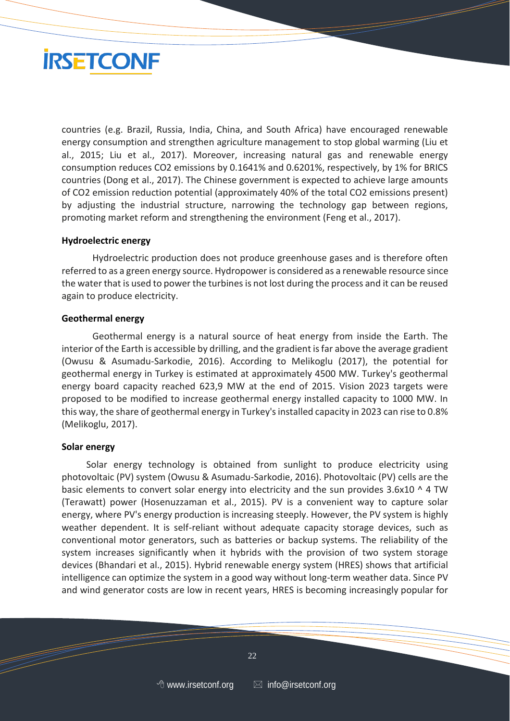

countries (e.g. Brazil, Russia, India, China, and South Africa) have encouraged renewable energy consumption and strengthen agriculture management to stop global warming (Liu et al., 2015; Liu et al., 2017). Moreover, increasing natural gas and renewable energy consumption reduces CO2 emissions by 0.1641% and 0.6201%, respectively, by 1% for BRICS countries (Dong et al., 2017). The Chinese government is expected to achieve large amounts of CO2 emission reduction potential (approximately 40% of the total CO2 emissions present) by adjusting the industrial structure, narrowing the technology gap between regions, promoting market reform and strengthening the environment (Feng et al., 2017).

#### **Hydroelectric energy**

Hydroelectric production does not produce greenhouse gases and is therefore often referred to as a green energy source. Hydropower is considered as a renewable resource since the water that is used to power the turbines is not lost during the process and it can be reused again to produce electricity.

#### **Geothermal energy**

Geothermal energy is a natural source of heat energy from inside the Earth. The interior of the Earth is accessible by drilling, and the gradient is far above the average gradient (Owusu & Asumadu-Sarkodie, 2016). According to Melikoglu (2017), the potential for geothermal energy in Turkey is estimated at approximately 4500 MW. Turkey's geothermal energy board capacity reached 623,9 MW at the end of 2015. Vision 2023 targets were proposed to be modified to increase geothermal energy installed capacity to 1000 MW. In this way, the share of geothermal energy in Turkey's installed capacity in 2023 can rise to 0.8% (Melikoglu, 2017).

#### **Solar energy**

Solar energy technology is obtained from sunlight to produce electricity using photovoltaic (PV) system (Owusu & Asumadu-Sarkodie, 2016). Photovoltaic (PV) cells are the basic elements to convert solar energy into electricity and the sun provides  $3.6x10 \text{ A}$  TW (Terawatt) power (Hosenuzzaman et al., 2015). PV is a convenient way to capture solar energy, where PV's energy production is increasing steeply. However, the PV system is highly weather dependent. It is self-reliant without adequate capacity storage devices, such as conventional motor generators, such as batteries or backup systems. The reliability of the system increases significantly when it hybrids with the provision of two system storage devices (Bhandari et al., 2015). Hybrid renewable energy system (HRES) shows that artificial intelligence can optimize the system in a good way without long-term weather data. Since PV and wind generator costs are low in recent years, HRES is becoming increasingly popular for

 $\overline{\phantom{a}}$  22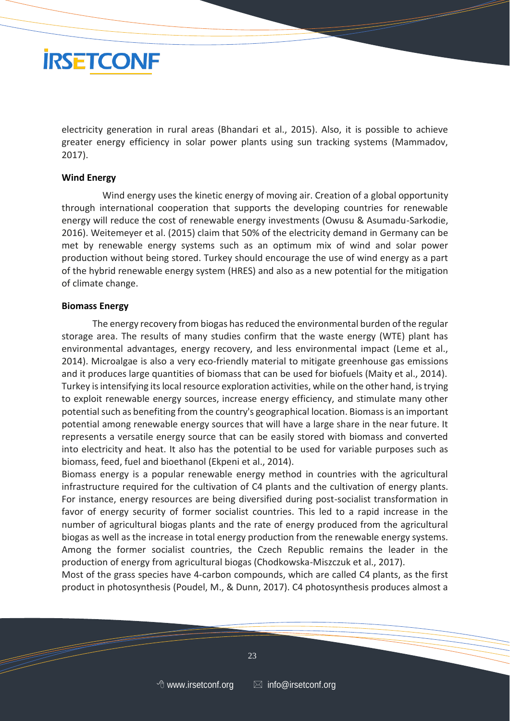

electricity generation in rural areas (Bhandari et al., 2015). Also, it is possible to achieve greater energy efficiency in solar power plants using sun tracking systems (Mammadov, 2017).

#### **Wind Energy**

Wind energy uses the kinetic energy of moving air. Creation of a global opportunity through international cooperation that supports the developing countries for renewable energy will reduce the cost of renewable energy investments (Owusu & Asumadu-Sarkodie, 2016). Weitemeyer et al. (2015) claim that 50% of the electricity demand in Germany can be met by renewable energy systems such as an optimum mix of wind and solar power production without being stored. Turkey should encourage the use of wind energy as a part of the hybrid renewable energy system (HRES) and also as a new potential for the mitigation of climate change.

#### **Biomass Energy**

The energy recovery from biogas has reduced the environmental burden of the regular storage area. The results of many studies confirm that the waste energy (WTE) plant has environmental advantages, energy recovery, and less environmental impact (Leme et al., 2014). Microalgae is also a very eco-friendly material to mitigate greenhouse gas emissions and it produces large quantities of biomass that can be used for biofuels (Maity et al., 2014). Turkey is intensifying its local resource exploration activities, while on the other hand, is trying to exploit renewable energy sources, increase energy efficiency, and stimulate many other potential such as benefiting from the country's geographical location. Biomass is an important potential among renewable energy sources that will have a large share in the near future. It represents a versatile energy source that can be easily stored with biomass and converted into electricity and heat. It also has the potential to be used for variable purposes such as biomass, feed, fuel and bioethanol (Ekpeni et al., 2014).

Biomass energy is a popular renewable energy method in countries with the agricultural infrastructure required for the cultivation of C4 plants and the cultivation of energy plants. For instance, energy resources are being diversified during post-socialist transformation in favor of energy security of former socialist countries. This led to a rapid increase in the number of agricultural biogas plants and the rate of energy produced from the agricultural biogas as well as the increase in total energy production from the renewable energy systems. Among the former socialist countries, the Czech Republic remains the leader in the production of energy from agricultural biogas (Chodkowska-Miszczuk et al., 2017).

Most of the grass species have 4-carbon compounds, which are called C4 plants, as the first product in photosynthesis (Poudel, M., & Dunn, 2017). C4 photosynthesis produces almost a

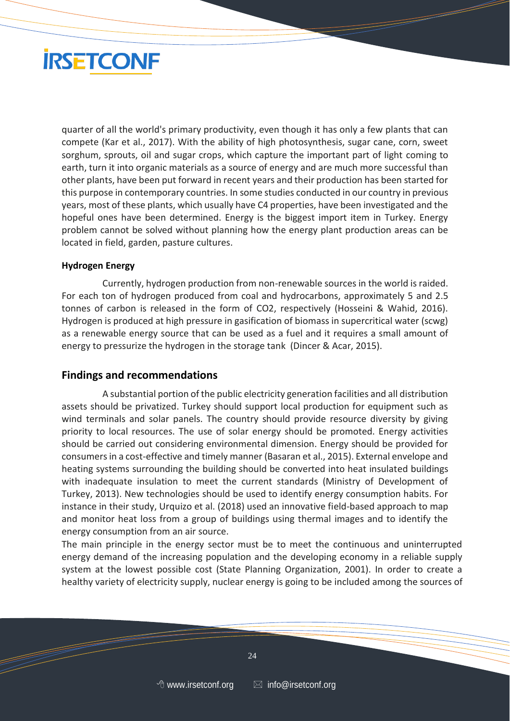# **IRSETCONF**

quarter of all the world's primary productivity, even though it has only a few plants that can compete (Kar et al., 2017). With the ability of high photosynthesis, sugar cane, corn, sweet sorghum, sprouts, oil and sugar crops, which capture the important part of light coming to earth, turn it into organic materials as a source of energy and are much more successful than other plants, have been put forward in recent years and their production has been started for this purpose in contemporary countries. In some studies conducted in our country in previous years, most of these plants, which usually have C4 properties, have been investigated and the hopeful ones have been determined. Energy is the biggest import item in Turkey. Energy problem cannot be solved without planning how the energy plant production areas can be located in field, garden, pasture cultures.

### **Hydrogen Energy**

Currently, hydrogen production from non-renewable sources in the world is raided. For each ton of hydrogen produced from coal and hydrocarbons, approximately 5 and 2.5 tonnes of carbon is released in the form of CO2, respectively (Hosseini & Wahid, 2016). Hydrogen is produced at high pressure in gasification of biomass in supercritical water (scwg) as a renewable energy source that can be used as a fuel and it requires a small amount of energy to pressurize the hydrogen in the storage tank (Dincer & Acar, 2015).

## **Findings and recommendations**

A substantial portion of the public electricity generation facilities and all distribution assets should be privatized. Turkey should support local production for equipment such as wind terminals and solar panels. The country should provide resource diversity by giving priority to local resources. The use of solar energy should be promoted. Energy activities should be carried out considering environmental dimension. Energy should be provided for consumers in a cost-effective and timely manner (Basaran et al., 2015). External envelope and heating systems surrounding the building should be converted into heat insulated buildings with inadequate insulation to meet the current standards (Ministry of Development of Turkey, 2013). New technologies should be used to identify energy consumption habits. For instance in their study, Urquizo et al. (2018) used an innovative field-based approach to map and monitor heat loss from a group of buildings using thermal images and to identify the energy consumption from an air source.

The main principle in the energy sector must be to meet the continuous and uninterrupted energy demand of the increasing population and the developing economy in a reliable supply system at the lowest possible cost (State Planning Organization, 2001). In order to create a healthy variety of electricity supply, nuclear energy is going to be included among the sources of

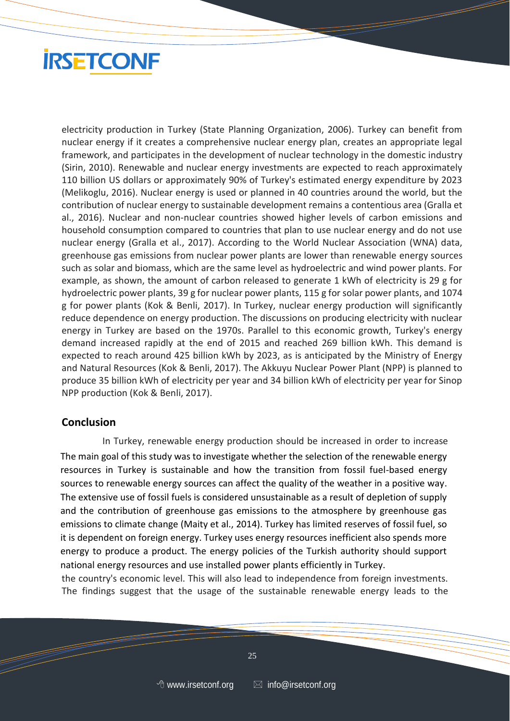# **IRSETCONF**

electricity production in Turkey (State Planning Organization, 2006). Turkey can benefit from nuclear energy if it creates a comprehensive nuclear energy plan, creates an appropriate legal framework, and participates in the development of nuclear technology in the domestic industry (Sirin, 2010). Renewable and nuclear energy investments are expected to reach approximately 110 billion US dollars or approximately 90% of Turkey's estimated energy expenditure by 2023 (Melikoglu, 2016). Nuclear energy is used or planned in 40 countries around the world, but the contribution of nuclear energy to sustainable development remains a contentious area (Gralla et al., 2016). Nuclear and non-nuclear countries showed higher levels of carbon emissions and household consumption compared to countries that plan to use nuclear energy and do not use nuclear energy (Gralla et al., 2017). According to the World Nuclear Association (WNA) data, greenhouse gas emissions from nuclear power plants are lower than renewable energy sources such as solar and biomass, which are the same level as hydroelectric and wind power plants. For example, as shown, the amount of carbon released to generate 1 kWh of electricity is 29 g for hydroelectric power plants, 39 g for nuclear power plants, 115 g for solar power plants, and 1074 g for power plants (Kok & Benli, 2017). In Turkey, nuclear energy production will significantly reduce dependence on energy production. The discussions on producing electricity with nuclear energy in Turkey are based on the 1970s. Parallel to this economic growth, Turkey's energy demand increased rapidly at the end of 2015 and reached 269 billion kWh. This demand is expected to reach around 425 billion kWh by 2023, as is anticipated by the Ministry of Energy and Natural Resources (Kok & Benli, 2017). The Akkuyu Nuclear Power Plant (NPP) is planned to produce 35 billion kWh of electricity per year and 34 billion kWh of electricity per year for Sinop NPP production (Kok & Benli, 2017).

### **Conclusion**

In Turkey, renewable energy production should be increased in order to increase The main goal of this study was to investigate whether the selection of the renewable energy resources in Turkey is sustainable and how the transition from fossil fuel-based energy sources to renewable energy sources can affect the quality of the weather in a positive way. The extensive use of fossil fuels is considered unsustainable as a result of depletion of supply and the contribution of greenhouse gas emissions to the atmosphere by greenhouse gas emissions to climate change (Maity et al., 2014). Turkey has limited reserves of fossil fuel, so it is dependent on foreign energy. Turkey uses energy resources inefficient also spends more energy to produce a product. The energy policies of the Turkish authority should support national energy resources and use installed power plants efficiently in Turkey.

the country's economic level. This will also lead to independence from foreign investments. The findings suggest that the usage of the sustainable renewable energy leads to the

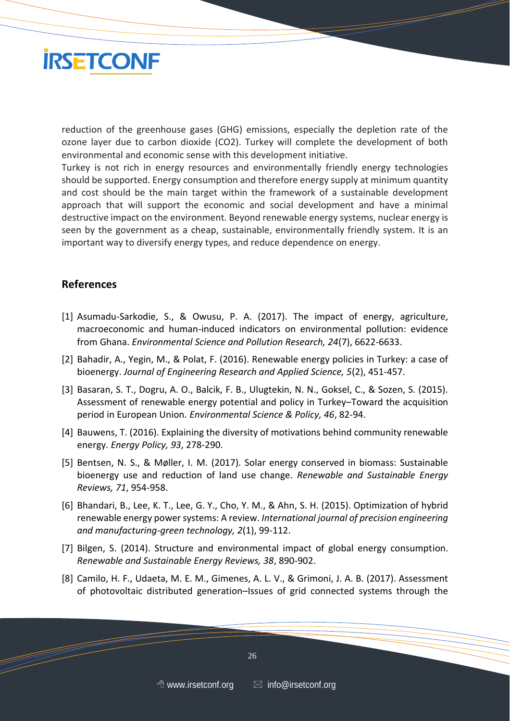

reduction of the greenhouse gases (GHG) emissions, especially the depletion rate of the ozone layer due to carbon dioxide (CO2). Turkey will complete the development of both environmental and economic sense with this development initiative.

Turkey is not rich in energy resources and environmentally friendly energy technologies should be supported. Energy consumption and therefore energy supply at minimum quantity and cost should be the main target within the framework of a sustainable development approach that will support the economic and social development and have a minimal destructive impact on the environment. Beyond renewable energy systems, nuclear energy is seen by the government as a cheap, sustainable, environmentally friendly system. It is an important way to diversify energy types, and reduce dependence on energy.

### **References**

- [1] Asumadu-Sarkodie, S., & Owusu, P. A. (2017). The impact of energy, agriculture, macroeconomic and human-induced indicators on environmental pollution: evidence from Ghana. *Environmental Science and Pollution Research, 24*(7), 6622-6633.
- [2] Bahadir, A., Yegin, M., & Polat, F. (2016). Renewable energy policies in Turkey: a case of bioenergy. *Journal of Engineering Research and Applied Science, 5*(2), 451-457.
- [3] Basaran, S. T., Dogru, A. O., Balcik, F. B., Ulugtekin, N. N., Goksel, C., & Sozen, S. (2015). Assessment of renewable energy potential and policy in Turkey–Toward the acquisition period in European Union. *Environmental Science & Policy, 46*, 82-94.
- [4] Bauwens, T. (2016). Explaining the diversity of motivations behind community renewable energy. *Energy Policy, 93*, 278-290.
- [5] Bentsen, N. S., & Møller, I. M. (2017). Solar energy conserved in biomass: Sustainable bioenergy use and reduction of land use change. *Renewable and Sustainable Energy Reviews, 71*, 954-958.
- [6] Bhandari, B., Lee, K. T., Lee, G. Y., Cho, Y. M., & Ahn, S. H. (2015). Optimization of hybrid renewable energy power systems: A review. *International journal of precision engineering and manufacturing-green technology, 2*(1), 99-112.
- [7] Bilgen, S. (2014). Structure and environmental impact of global energy consumption. *Renewable and Sustainable Energy Reviews, 38*, 890-902.
- [8] Camilo, H. F., Udaeta, M. E. M., Gimenes, A. L. V., & Grimoni, J. A. B. (2017). Assessment of photovoltaic distributed generation–Issues of grid connected systems through the

 $\sim$  26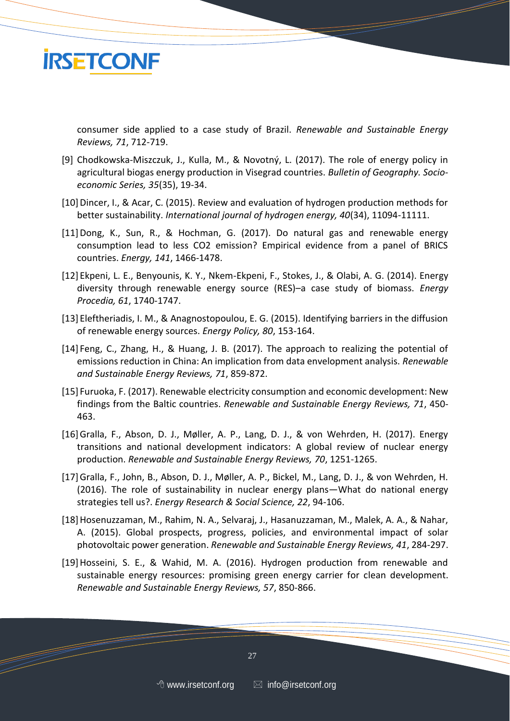

consumer side applied to a case study of Brazil. *Renewable and Sustainable Energy Reviews, 71*, 712-719.

- [9] Chodkowska-Miszczuk, J., Kulla, M., & Novotný, L. (2017). The role of energy policy in agricultural biogas energy production in Visegrad countries. *Bulletin of Geography. Socioeconomic Series, 35*(35), 19-34.
- [10] Dincer, I., & Acar, C. (2015). Review and evaluation of hydrogen production methods for better sustainability. *International journal of hydrogen energy, 40*(34), 11094-11111.
- [11]Dong, K., Sun, R., & Hochman, G. (2017). Do natural gas and renewable energy consumption lead to less CO2 emission? Empirical evidence from a panel of BRICS countries. *Energy, 141*, 1466-1478.
- [12] Ekpeni, L. E., Benyounis, K. Y., Nkem-Ekpeni, F., Stokes, J., & Olabi, A. G. (2014). Energy diversity through renewable energy source (RES)–a case study of biomass. *Energy Procedia, 61*, 1740-1747.
- [13] Eleftheriadis, I. M., & Anagnostopoulou, E. G. (2015). Identifying barriers in the diffusion of renewable energy sources. *Energy Policy, 80*, 153-164.
- [14] Feng, C., Zhang, H., & Huang, J. B. (2017). The approach to realizing the potential of emissions reduction in China: An implication from data envelopment analysis. *Renewable and Sustainable Energy Reviews, 71*, 859-872.
- [15] Furuoka, F. (2017). Renewable electricity consumption and economic development: New findings from the Baltic countries. *Renewable and Sustainable Energy Reviews, 71*, 450- 463.
- [16]Gralla, F., Abson, D. J., Møller, A. P., Lang, D. J., & von Wehrden, H. (2017). Energy transitions and national development indicators: A global review of nuclear energy production. *Renewable and Sustainable Energy Reviews, 70*, 1251-1265.
- [17]Gralla, F., John, B., Abson, D. J., Møller, A. P., Bickel, M., Lang, D. J., & von Wehrden, H. (2016). The role of sustainability in nuclear energy plans—What do national energy strategies tell us?. *Energy Research & Social Science, 22*, 94-106.
- [18]Hosenuzzaman, M., Rahim, N. A., Selvaraj, J., Hasanuzzaman, M., Malek, A. A., & Nahar, A. (2015). Global prospects, progress, policies, and environmental impact of solar photovoltaic power generation. *Renewable and Sustainable Energy Reviews, 41*, 284-297.
- [19]Hosseini, S. E., & Wahid, M. A. (2016). Hydrogen production from renewable and sustainable energy resources: promising green energy carrier for clean development. *Renewable and Sustainable Energy Reviews, 57*, 850-866.

 $27$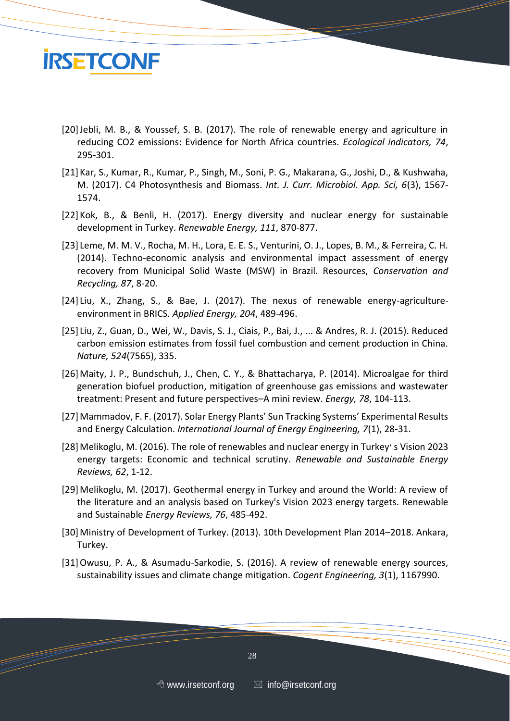

- [20]Jebli, M. B., & Youssef, S. B. (2017). The role of renewable energy and agriculture in reducing CO2 emissions: Evidence for North Africa countries. *Ecological indicators, 74*, 295-301.
- [21] Kar, S., Kumar, R., Kumar, P., Singh, M., Soni, P. G., Makarana, G., Joshi, D., & Kushwaha, M. (2017). C4 Photosynthesis and Biomass. *Int. J. Curr. Microbiol. App. Sci, 6*(3), 1567- 1574.
- [22] Kok, B., & Benli, H. (2017). Energy diversity and nuclear energy for sustainable development in Turkey. *Renewable Energy, 111*, 870-877.
- [23] Leme, M. M. V., Rocha, M. H., Lora, E. E. S., Venturini, O. J., Lopes, B. M., & Ferreira, C. H. (2014). Techno-economic analysis and environmental impact assessment of energy recovery from Municipal Solid Waste (MSW) in Brazil. Resources, *Conservation and Recycling, 87*, 8-20.
- [24] Liu, X., Zhang, S., & Bae, J. (2017). The nexus of renewable energy-agricultureenvironment in BRICS. *Applied Energy, 204*, 489-496.
- [25] Liu, Z., Guan, D., Wei, W., Davis, S. J., Ciais, P., Bai, J., ... & Andres, R. J. (2015). Reduced carbon emission estimates from fossil fuel combustion and cement production in China. *Nature, 524*(7565), 335.
- [26]Maity, J. P., Bundschuh, J., Chen, C. Y., & Bhattacharya, P. (2014). Microalgae for third generation biofuel production, mitigation of greenhouse gas emissions and wastewater treatment: Present and future perspectives–A mini review. *Energy, 78*, 104-113.
- [27]Mammadov, F. F. (2017). Solar Energy Plants' Sun Tracking Systems' Experimental Results and Energy Calculation. *International Journal of Energy Engineering, 7*(1), 28-31.
- [28]Melikoglu, M. (2016). The role of renewables and nuclear energy in Turkey׳ s Vision 2023 energy targets: Economic and technical scrutiny. *Renewable and Sustainable Energy Reviews, 62*, 1-12.
- [29]Melikoglu, M. (2017). Geothermal energy in Turkey and around the World: A review of the literature and an analysis based on Turkey's Vision 2023 energy targets. Renewable and Sustainable *Energy Reviews, 76*, 485-492.
- [30]Ministry of Development of Turkey. (2013). 10th Development Plan 2014–2018. Ankara, Turkey.
- [31]Owusu, P. A., & Asumadu-Sarkodie, S. (2016). A review of renewable energy sources, sustainability issues and climate change mitigation. *Cogent Engineering, 3*(1), 1167990.